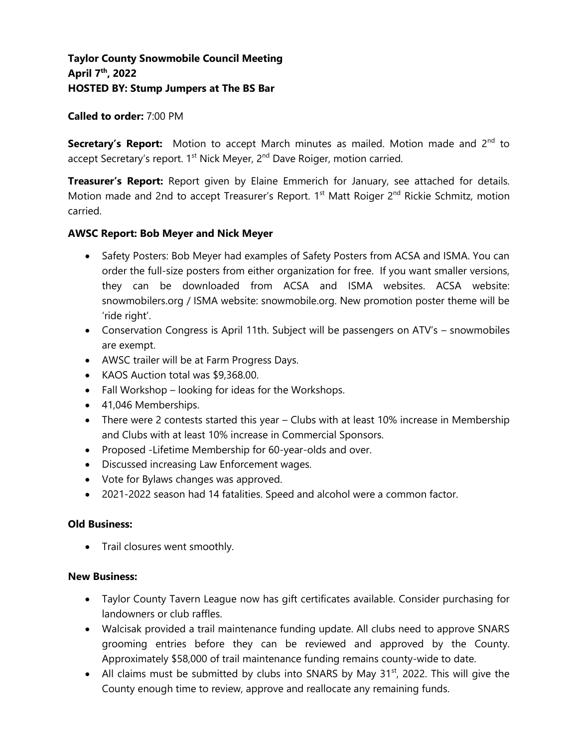# **Taylor County Snowmobile Council Meeting April 7th, 2022 HOSTED BY: Stump Jumpers at The BS Bar**

### **Called to order:** 7:00 PM

**Secretary's Report:** Motion to accept March minutes as mailed. Motion made and 2<sup>nd</sup> to accept Secretary's report. 1<sup>st</sup> Nick Meyer, 2<sup>nd</sup> Dave Roiger, motion carried.

**Treasurer's Report:** Report given by Elaine Emmerich for January, see attached for details. Motion made and 2nd to accept Treasurer's Report. 1<sup>st</sup> Matt Roiger 2<sup>nd</sup> Rickie Schmitz, motion carried.

### **AWSC Report: Bob Meyer and Nick Meyer**

- Safety Posters: Bob Meyer had examples of Safety Posters from ACSA and ISMA. You can order the full-size posters from either organization for free. If you want smaller versions, they can be downloaded from ACSA and ISMA websites. ACSA website: snowmobilers.org / ISMA website: snowmobile.org. New promotion poster theme will be 'ride right'.
- Conservation Congress is April 11th. Subject will be passengers on ATV's snowmobiles are exempt.
- AWSC trailer will be at Farm Progress Days.
- KAOS Auction total was \$9,368.00.
- Fall Workshop looking for ideas for the Workshops.
- 41,046 Memberships.
- There were 2 contests started this year Clubs with at least 10% increase in Membership and Clubs with at least 10% increase in Commercial Sponsors.
- Proposed -Lifetime Membership for 60-year-olds and over.
- Discussed increasing Law Enforcement wages.
- Vote for Bylaws changes was approved.
- 2021-2022 season had 14 fatalities. Speed and alcohol were a common factor.

### **Old Business:**

• Trail closures went smoothly.

### **New Business:**

- Taylor County Tavern League now has gift certificates available. Consider purchasing for landowners or club raffles.
- Walcisak provided a trail maintenance funding update. All clubs need to approve SNARS grooming entries before they can be reviewed and approved by the County. Approximately \$58,000 of trail maintenance funding remains county-wide to date.
- All claims must be submitted by clubs into SNARS by May  $31^{st}$ , 2022. This will give the County enough time to review, approve and reallocate any remaining funds.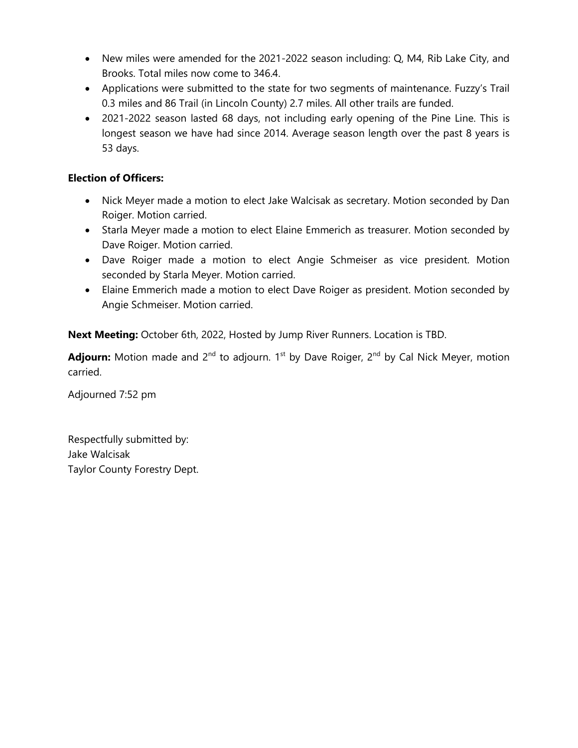- New miles were amended for the 2021-2022 season including: Q, M4, Rib Lake City, and Brooks. Total miles now come to 346.4.
- Applications were submitted to the state for two segments of maintenance. Fuzzy's Trail 0.3 miles and 86 Trail (in Lincoln County) 2.7 miles. All other trails are funded.
- 2021-2022 season lasted 68 days, not including early opening of the Pine Line. This is longest season we have had since 2014. Average season length over the past 8 years is 53 days.

# **Election of Officers:**

- Nick Meyer made a motion to elect Jake Walcisak as secretary. Motion seconded by Dan Roiger. Motion carried.
- Starla Meyer made a motion to elect Elaine Emmerich as treasurer. Motion seconded by Dave Roiger. Motion carried.
- Dave Roiger made a motion to elect Angie Schmeiser as vice president. Motion seconded by Starla Meyer. Motion carried.
- Elaine Emmerich made a motion to elect Dave Roiger as president. Motion seconded by Angie Schmeiser. Motion carried.

**Next Meeting:** October 6th, 2022, Hosted by Jump River Runners. Location is TBD.

Adjourn: Motion made and 2<sup>nd</sup> to adjourn. 1<sup>st</sup> by Dave Roiger, 2<sup>nd</sup> by Cal Nick Meyer, motion carried.

Adjourned 7:52 pm

Respectfully submitted by: Jake Walcisak Taylor County Forestry Dept.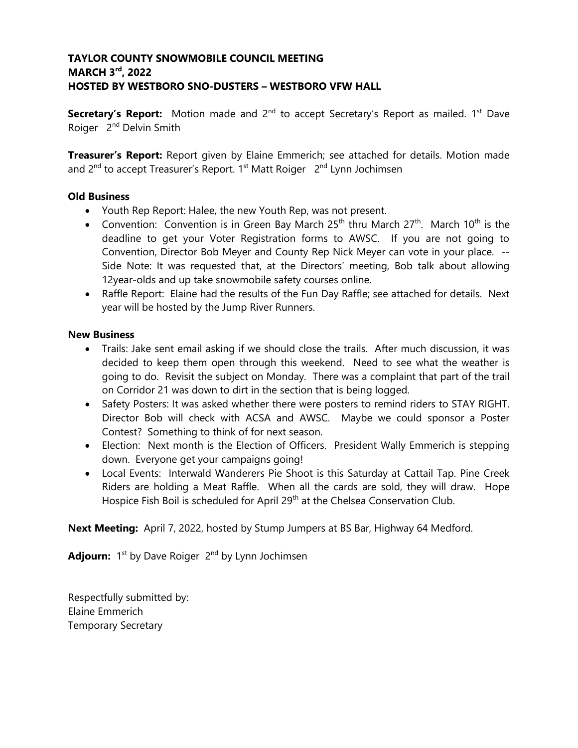# **TAYLOR COUNTY SNOWMOBILE COUNCIL MEETING MARCH 3 rd , 2022 HOSTED BY WESTBORO SNO-DUSTERS – WESTBORO VFW HALL**

**Secretary's Report:** Motion made and 2<sup>nd</sup> to accept Secretary's Report as mailed. 1<sup>st</sup> Dave Roiger 2<sup>nd</sup> Delvin Smith

**Treasurer's Report:** Report given by Elaine Emmerich; see attached for details. Motion made and 2<sup>nd</sup> to accept Treasurer's Report. 1<sup>st</sup> Matt Roiger 2<sup>nd</sup> Lynn Jochimsen

### **Old Business**

- Youth Rep Report: Halee, the new Youth Rep, was not present.
- Convention: Convention is in Green Bay March 25<sup>th</sup> thru March 27<sup>th</sup>. March 10<sup>th</sup> is the deadline to get your Voter Registration forms to AWSC. If you are not going to Convention, Director Bob Meyer and County Rep Nick Meyer can vote in your place. -- Side Note: It was requested that, at the Directors' meeting, Bob talk about allowing 12year-olds and up take snowmobile safety courses online.
- Raffle Report: Elaine had the results of the Fun Day Raffle; see attached for details. Next year will be hosted by the Jump River Runners.

### **New Business**

- Trails: Jake sent email asking if we should close the trails. After much discussion, it was decided to keep them open through this weekend. Need to see what the weather is going to do. Revisit the subject on Monday. There was a complaint that part of the trail on Corridor 21 was down to dirt in the section that is being logged.
- Safety Posters: It was asked whether there were posters to remind riders to STAY RIGHT. Director Bob will check with ACSA and AWSC. Maybe we could sponsor a Poster Contest? Something to think of for next season.
- Election: Next month is the Election of Officers. President Wally Emmerich is stepping down. Everyone get your campaigns going!
- Local Events: Interwald Wanderers Pie Shoot is this Saturday at Cattail Tap. Pine Creek Riders are holding a Meat Raffle. When all the cards are sold, they will draw. Hope Hospice Fish Boil is scheduled for April 29<sup>th</sup> at the Chelsea Conservation Club.

**Next Meeting:** April 7, 2022, hosted by Stump Jumpers at BS Bar, Highway 64 Medford.

Adjourn: 1<sup>st</sup> by Dave Roiger 2<sup>nd</sup> by Lynn Jochimsen

Respectfully submitted by: Elaine Emmerich Temporary Secretary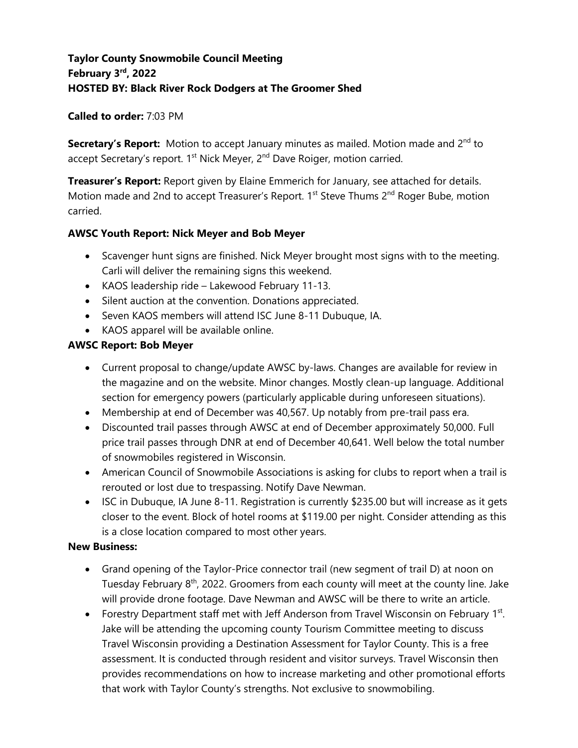# **Taylor County Snowmobile Council Meeting February 3rd, 2022 HOSTED BY: Black River Rock Dodgers at The Groomer Shed**

## **Called to order:** 7:03 PM

**Secretary's Report:** Motion to accept January minutes as mailed. Motion made and 2<sup>nd</sup> to accept Secretary's report. 1<sup>st</sup> Nick Meyer, 2<sup>nd</sup> Dave Roiger, motion carried.

**Treasurer's Report:** Report given by Elaine Emmerich for January, see attached for details. Motion made and 2nd to accept Treasurer's Report. 1<sup>st</sup> Steve Thums 2<sup>nd</sup> Roger Bube, motion carried.

## **AWSC Youth Report: Nick Meyer and Bob Meyer**

- Scavenger hunt signs are finished. Nick Meyer brought most signs with to the meeting. Carli will deliver the remaining signs this weekend.
- KAOS leadership ride Lakewood February 11-13.
- Silent auction at the convention. Donations appreciated.
- Seven KAOS members will attend ISC June 8-11 Dubuque, IA.
- KAOS apparel will be available online.

## **AWSC Report: Bob Meyer**

- Current proposal to change/update AWSC by-laws. Changes are available for review in the magazine and on the website. Minor changes. Mostly clean-up language. Additional section for emergency powers (particularly applicable during unforeseen situations).
- Membership at end of December was 40,567. Up notably from pre-trail pass era.
- Discounted trail passes through AWSC at end of December approximately 50,000. Full price trail passes through DNR at end of December 40,641. Well below the total number of snowmobiles registered in Wisconsin.
- American Council of Snowmobile Associations is asking for clubs to report when a trail is rerouted or lost due to trespassing. Notify Dave Newman.
- ISC in Dubuque, IA June 8-11. Registration is currently \$235.00 but will increase as it gets closer to the event. Block of hotel rooms at \$119.00 per night. Consider attending as this is a close location compared to most other years.

### **New Business:**

- Grand opening of the Taylor-Price connector trail (new segment of trail D) at noon on Tuesday February 8<sup>th</sup>, 2022. Groomers from each county will meet at the county line. Jake will provide drone footage. Dave Newman and AWSC will be there to write an article.
- Forestry Department staff met with Jeff Anderson from Travel Wisconsin on February 1st. Jake will be attending the upcoming county Tourism Committee meeting to discuss Travel Wisconsin providing a Destination Assessment for Taylor County. This is a free assessment. It is conducted through resident and visitor surveys. Travel Wisconsin then provides recommendations on how to increase marketing and other promotional efforts that work with Taylor County's strengths. Not exclusive to snowmobiling.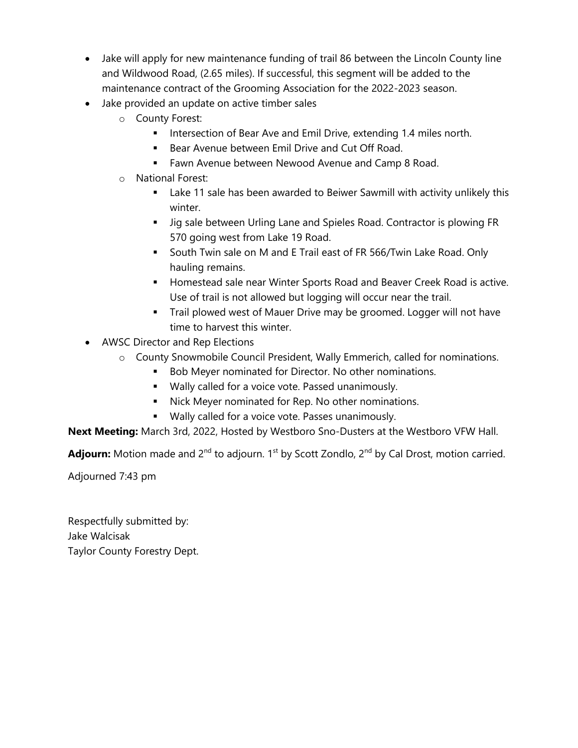- Jake will apply for new maintenance funding of trail 86 between the Lincoln County line and Wildwood Road, (2.65 miles). If successful, this segment will be added to the maintenance contract of the Grooming Association for the 2022-2023 season.
- Jake provided an update on active timber sales
	- o County Forest:
		- **■** Intersection of Bear Ave and Emil Drive, extending 1.4 miles north.
		- Bear Avenue between Emil Drive and Cut Off Road.
		- Fawn Avenue between Newood Avenue and Camp 8 Road.
	- o National Forest:
		- **EXEL As also as a Lack** been awarded to Beiwer Sawmill with activity unlikely this winter.
		- Jig sale between Urling Lane and Spieles Road. Contractor is plowing FR 570 going west from Lake 19 Road.
		- South Twin sale on M and E Trail east of FR 566/Twin Lake Road. Only hauling remains.
		- **E** Homestead sale near Winter Sports Road and Beaver Creek Road is active. Use of trail is not allowed but logging will occur near the trail.
		- **•** Trail plowed west of Mauer Drive may be groomed. Logger will not have time to harvest this winter.
- AWSC Director and Rep Elections
	- o County Snowmobile Council President, Wally Emmerich, called for nominations.
		- Bob Meyer nominated for Director. No other nominations.
		- Wally called for a voice vote. Passed unanimously.
		- Nick Meyer nominated for Rep. No other nominations.
		- Wally called for a voice vote. Passes unanimously.

**Next Meeting:** March 3rd, 2022, Hosted by Westboro Sno-Dusters at the Westboro VFW Hall.

Adjourn: Motion made and 2<sup>nd</sup> to adjourn. 1<sup>st</sup> by Scott Zondlo, 2<sup>nd</sup> by Cal Drost, motion carried.

Adjourned 7:43 pm

Respectfully submitted by: Jake Walcisak Taylor County Forestry Dept.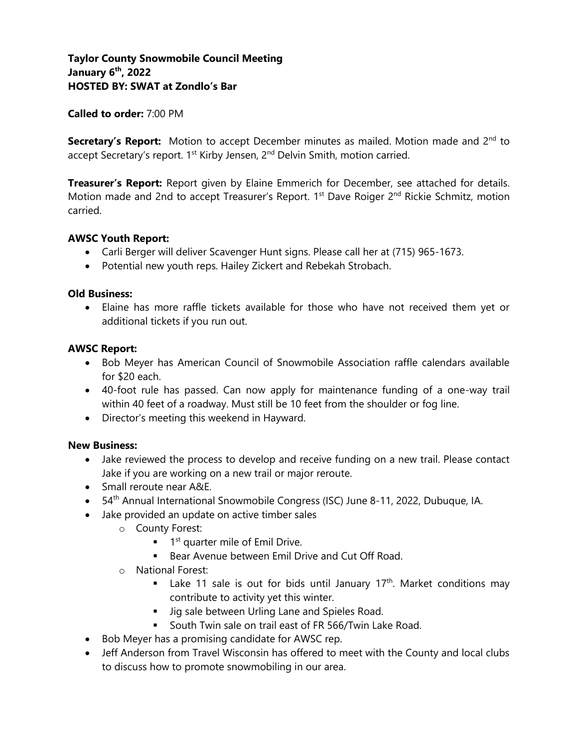### **Called to order:** 7:00 PM

**Secretary's Report:** Motion to accept December minutes as mailed. Motion made and 2<sup>nd</sup> to accept Secretary's report. 1<sup>st</sup> Kirby Jensen, 2<sup>nd</sup> Delvin Smith, motion carried.

**Treasurer's Report:** Report given by Elaine Emmerich for December, see attached for details. Motion made and 2nd to accept Treasurer's Report. 1<sup>st</sup> Dave Roiger 2<sup>nd</sup> Rickie Schmitz, motion carried.

### **AWSC Youth Report:**

- Carli Berger will deliver Scavenger Hunt signs. Please call her at (715) 965-1673.
- Potential new youth reps. Hailey Zickert and Rebekah Strobach.

### **Old Business:**

• Elaine has more raffle tickets available for those who have not received them yet or additional tickets if you run out.

### **AWSC Report:**

- Bob Meyer has American Council of Snowmobile Association raffle calendars available for \$20 each.
- 40-foot rule has passed. Can now apply for maintenance funding of a one-way trail within 40 feet of a roadway. Must still be 10 feet from the shoulder or fog line.
- Director's meeting this weekend in Hayward.

### **New Business:**

- Jake reviewed the process to develop and receive funding on a new trail. Please contact Jake if you are working on a new trail or major reroute.
- Small reroute near A&E.
- 54<sup>th</sup> Annual International Snowmobile Congress (ISC) June 8-11, 2022, Dubuque, IA.
- Jake provided an update on active timber sales
	- o County Forest:
		- $\blacksquare$  1<sup>st</sup> quarter mile of Emil Drive.
		- Bear Avenue between Emil Drive and Cut Off Road.
	- o National Forest:
		- **■** Lake 11 sale is out for bids until January  $17<sup>th</sup>$ . Market conditions may contribute to activity yet this winter.
		- **■** Jig sale between Urling Lane and Spieles Road.
		- South Twin sale on trail east of FR 566/Twin Lake Road.
- Bob Meyer has a promising candidate for AWSC rep.
- Jeff Anderson from Travel Wisconsin has offered to meet with the County and local clubs to discuss how to promote snowmobiling in our area.